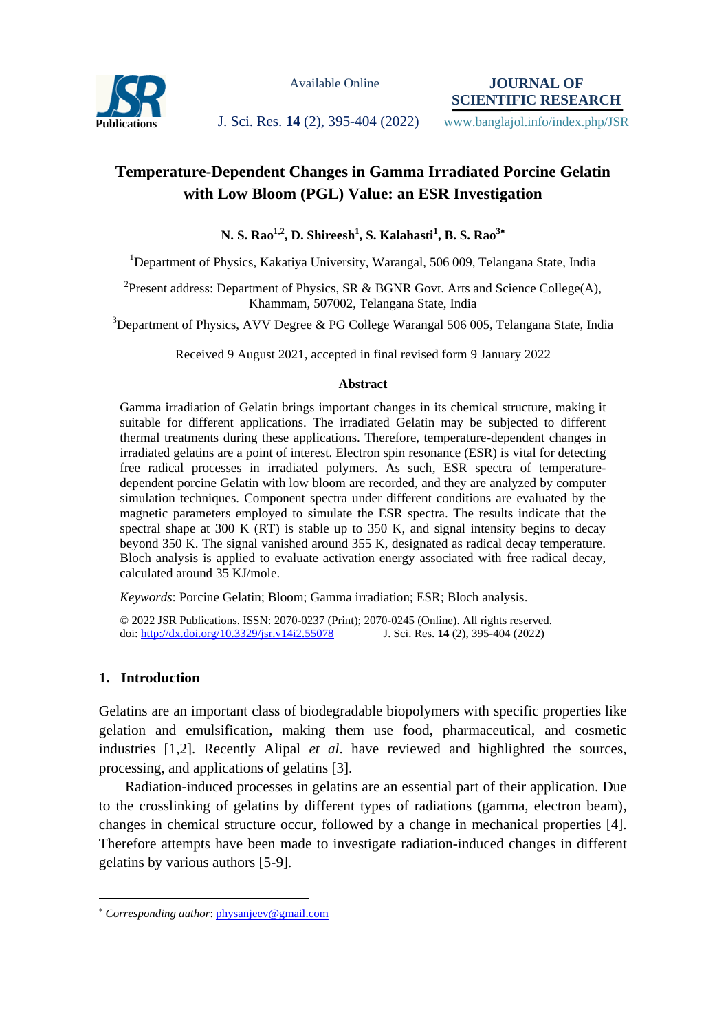

Available Online

**JOURNAL OF SCIENTIFIC RESEARCH**

Publications **J. Sci. Res. 14** (2), 395-404 (2022) www.banglajol.info/index.php/JSR

# **Temperature-Dependent Changes in Gamma Irradiated Porcine Gelatin with Low Bloom (PGL) Value: an ESR Investigation**

**N. S. Rao1,2, D. Shireesh<sup>1</sup> , S. Kalahasti<sup>1</sup> , B. S. Rao<sup>3</sup>**

<sup>1</sup>Department of Physics, Kakatiya University, Warangal, 506 009, Telangana State, India

<sup>2</sup> Present address: Department of Physics, SR & BGNR Govt. Arts and Science College(A), Khammam, 507002, Telangana State, India

 $3$ Department of Physics, AVV Degree & PG College Warangal 506 005, Telangana State, India

Received 9 August 2021, accepted in final revised form 9 January 2022

#### **Abstract**

Gamma irradiation of Gelatin brings important changes in its chemical structure, making it suitable for different applications. The irradiated Gelatin may be subjected to different thermal treatments during these applications. Therefore, temperature-dependent changes in irradiated gelatins are a point of interest. Electron spin resonance (ESR) is vital for detecting free radical processes in irradiated polymers. As such, ESR spectra of temperaturedependent porcine Gelatin with low bloom are recorded, and they are analyzed by computer simulation techniques. Component spectra under different conditions are evaluated by the magnetic parameters employed to simulate the ESR spectra. The results indicate that the spectral shape at 300 K (RT) is stable up to 350 K, and signal intensity begins to decay beyond 350 K. The signal vanished around 355 K, designated as radical decay temperature. Bloch analysis is applied to evaluate activation energy associated with free radical decay, calculated around 35 KJ/mole.

*Keywords*: Porcine Gelatin; Bloom; Gamma irradiation; ESR; Bloch analysis.

© 2022 JSR Publications. ISSN: 2070-0237 (Print); 2070-0245 (Online). All rights reserved. doi: http://dx.doi.org/10.3329/jsr.v14i2.55078

## **1. Introduction**

 $\overline{a}$ 

Gelatins are an important class of biodegradable biopolymers with specific properties like gelation and emulsification, making them use food, pharmaceutical, and cosmetic industries [1,2]. Recently Alipal *et al*. have reviewed and highlighted the sources, processing, and applications of gelatins [3].

Radiation-induced processes in gelatins are an essential part of their application. Due to the crosslinking of gelatins by different types of radiations (gamma, electron beam), changes in chemical structure occur, followed by a change in mechanical properties [4]. Therefore attempts have been made to investigate radiation-induced changes in different gelatins by various authors [5-9].

*Corresponding author*[: physanjeev@gmail.com](mailto:mahbubchem@cu.ac.bd)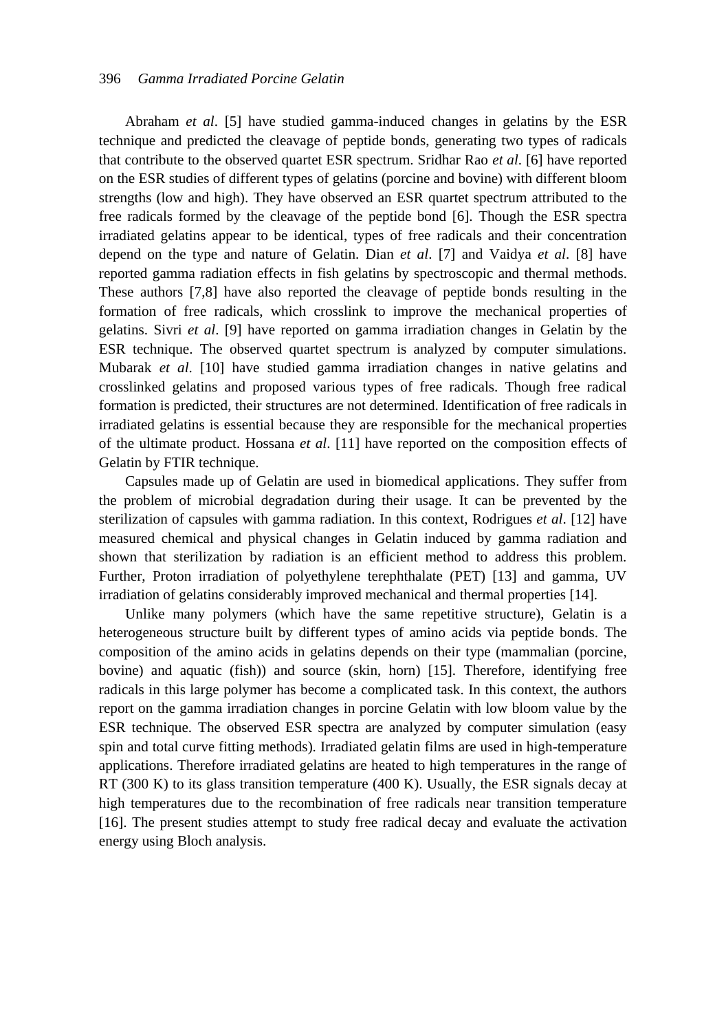## 396 *Gamma Irradiated Porcine Gelatin*

Abraham *et al*. [5] have studied gamma-induced changes in gelatins by the ESR technique and predicted the cleavage of peptide bonds, generating two types of radicals that contribute to the observed quartet ESR spectrum. Sridhar Rao *et al*. [6] have reported on the ESR studies of different types of gelatins (porcine and bovine) with different bloom strengths (low and high). They have observed an ESR quartet spectrum attributed to the free radicals formed by the cleavage of the peptide bond [6]. Though the ESR spectra irradiated gelatins appear to be identical, types of free radicals and their concentration depend on the type and nature of Gelatin. Dian *et al*. [7] and Vaidya *et al*. [8] have reported gamma radiation effects in fish gelatins by spectroscopic and thermal methods. These authors [7,8] have also reported the cleavage of peptide bonds resulting in the formation of free radicals, which crosslink to improve the mechanical properties of gelatins. Sivri *et al*. [9] have reported on gamma irradiation changes in Gelatin by the ESR technique. The observed quartet spectrum is analyzed by computer simulations. Mubarak *et al*. [10] have studied gamma irradiation changes in native gelatins and crosslinked gelatins and proposed various types of free radicals. Though free radical formation is predicted, their structures are not determined. Identification of free radicals in irradiated gelatins is essential because they are responsible for the mechanical properties of the ultimate product. Hossana *et al*. [11] have reported on the composition effects of Gelatin by FTIR technique.

Capsules made up of Gelatin are used in biomedical applications. They suffer from the problem of microbial degradation during their usage. It can be prevented by the sterilization of capsules with gamma radiation. In this context, Rodrigues *et al*. [12] have measured chemical and physical changes in Gelatin induced by gamma radiation and shown that sterilization by radiation is an efficient method to address this problem. Further, Proton irradiation of polyethylene terephthalate (PET) [13] and gamma, UV irradiation of gelatins considerably improved mechanical and thermal properties [14].

Unlike many polymers (which have the same repetitive structure), Gelatin is a heterogeneous structure built by different types of amino acids via peptide bonds. The composition of the amino acids in gelatins depends on their type (mammalian (porcine, bovine) and aquatic (fish)) and source (skin, horn) [15]. Therefore, identifying free radicals in this large polymer has become a complicated task. In this context, the authors report on the gamma irradiation changes in porcine Gelatin with low bloom value by the ESR technique. The observed ESR spectra are analyzed by computer simulation (easy spin and total curve fitting methods). Irradiated gelatin films are used in high-temperature applications. Therefore irradiated gelatins are heated to high temperatures in the range of RT (300 K) to its glass transition temperature (400 K). Usually, the ESR signals decay at high temperatures due to the recombination of free radicals near transition temperature [16]. The present studies attempt to study free radical decay and evaluate the activation energy using Bloch analysis.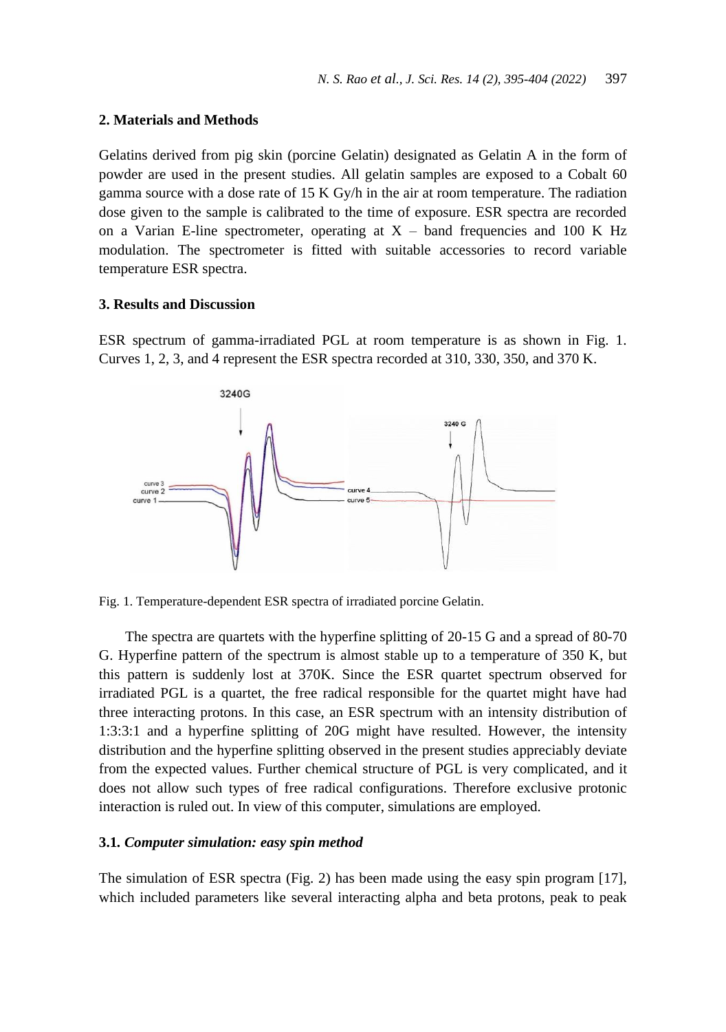## **2. Materials and Methods**

Gelatins derived from pig skin (porcine Gelatin) designated as Gelatin A in the form of powder are used in the present studies. All gelatin samples are exposed to a Cobalt 60 gamma source with a dose rate of 15 K Gy/h in the air at room temperature. The radiation dose given to the sample is calibrated to the time of exposure. ESR spectra are recorded on a Varian E-line spectrometer, operating at  $X -$  band frequencies and 100 K Hz modulation. The spectrometer is fitted with suitable accessories to record variable temperature ESR spectra.

## **3. Results and Discussion**

ESR spectrum of gamma-irradiated PGL at room temperature is as shown in Fig. 1. Curves 1, 2, 3, and 4 represent the ESR spectra recorded at 310, 330, 350, and 370 K.



Fig. 1. Temperature-dependent ESR spectra of irradiated porcine Gelatin.

The spectra are quartets with the hyperfine splitting of 20-15 G and a spread of 80-70 G. Hyperfine pattern of the spectrum is almost stable up to a temperature of 350 K, but this pattern is suddenly lost at 370K. Since the ESR quartet spectrum observed for irradiated PGL is a quartet, the free radical responsible for the quartet might have had three interacting protons. In this case, an ESR spectrum with an intensity distribution of 1:3:3:1 and a hyperfine splitting of 20G might have resulted. However, the intensity distribution and the hyperfine splitting observed in the present studies appreciably deviate from the expected values. Further chemical structure of PGL is very complicated, and it does not allow such types of free radical configurations. Therefore exclusive protonic interaction is ruled out. In view of this computer, simulations are employed.

## **3.1***. Computer simulation: easy spin method*

The simulation of ESR spectra (Fig. 2) has been made using the easy spin program [17], which included parameters like several interacting alpha and beta protons, peak to peak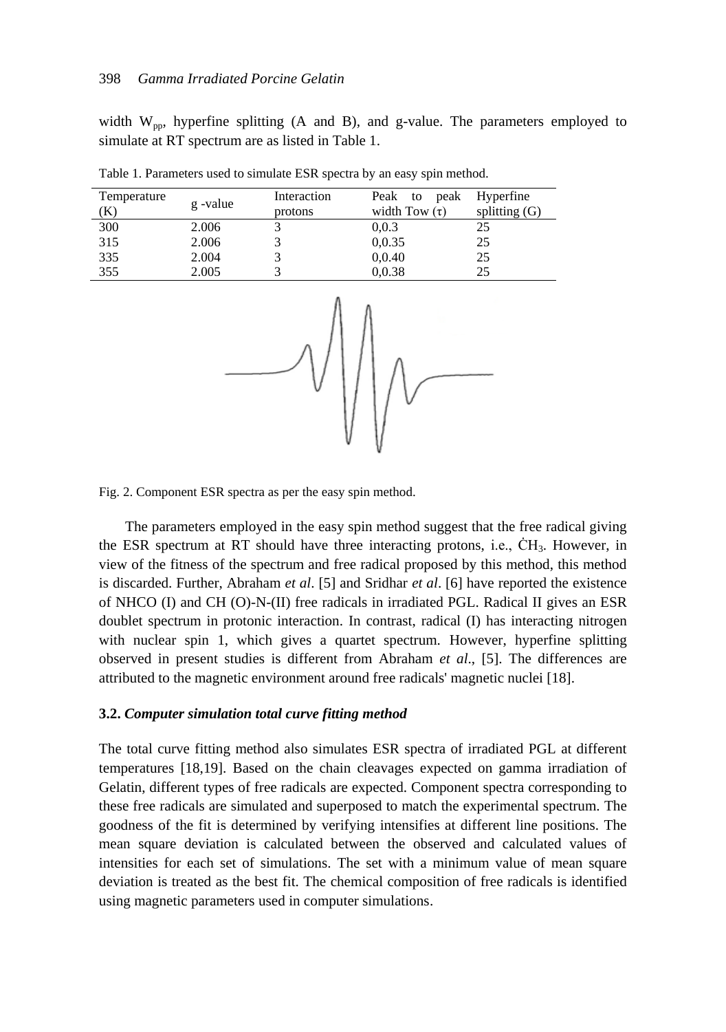#### 398 *Gamma Irradiated Porcine Gelatin*

width  $W_{pp}$ , hyperfine splitting (A and B), and g-value. The parameters employed to simulate at RT spectrum are as listed in Table 1.

| Temperature<br>(K) | g-value | Interaction<br>protons | peak<br>Peak to<br>width Tow $(\tau)$ | Hyperfine<br>splitting $(G)$ |
|--------------------|---------|------------------------|---------------------------------------|------------------------------|
| 300                | 2.006   |                        | 0,0.3                                 | 25                           |
| 315                | 2.006   |                        | 0,0.35                                | 25                           |
| 335                | 2.004   |                        | 0,0.40                                | 25                           |
| 355                | 2.005   |                        | 0,0.38                                | 25                           |

Table 1. Parameters used to simulate ESR spectra by an easy spin method.



Fig. 2. Component ESR spectra as per the easy spin method.

The parameters employed in the easy spin method suggest that the free radical giving the ESR spectrum at RT should have three interacting protons, i.e.,  $\dot{C}H_3$ . However, in view of the fitness of the spectrum and free radical proposed by this method, this method is discarded. Further, Abraham *et al*. [5] and Sridhar *et al*. [6] have reported the existence of NHCO (I) and CH (O)-N-(II) free radicals in irradiated PGL. Radical II gives an ESR doublet spectrum in protonic interaction. In contrast, radical (I) has interacting nitrogen with nuclear spin 1, which gives a quartet spectrum. However, hyperfine splitting observed in present studies is different from Abraham *et al*., [5]. The differences are attributed to the magnetic environment around free radicals' magnetic nuclei [18].

## **3.2.** *Computer simulation total curve fitting method*

The total curve fitting method also simulates ESR spectra of irradiated PGL at different temperatures [18,19]. Based on the chain cleavages expected on gamma irradiation of Gelatin, different types of free radicals are expected. Component spectra corresponding to these free radicals are simulated and superposed to match the experimental spectrum. The goodness of the fit is determined by verifying intensifies at different line positions. The mean square deviation is calculated between the observed and calculated values of intensities for each set of simulations. The set with a minimum value of mean square deviation is treated as the best fit. The chemical composition of free radicals is identified using magnetic parameters used in computer simulations.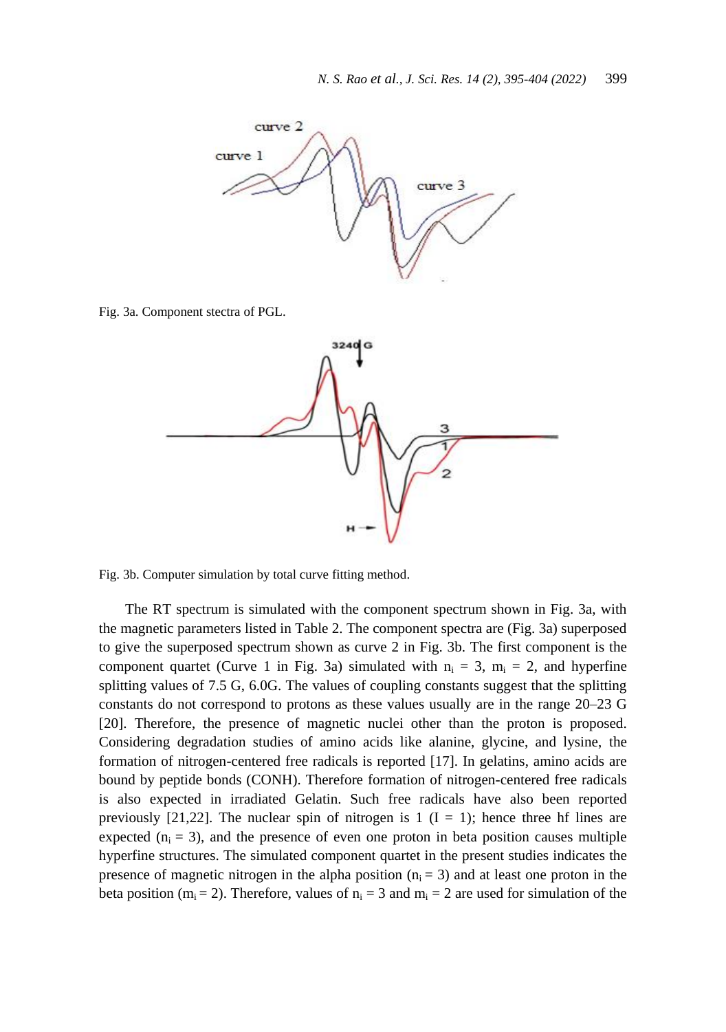

Fig. 3a. Component stectra of PGL.



Fig. 3b. Computer simulation by total curve fitting method.

The RT spectrum is simulated with the component spectrum shown in Fig. 3a, with the magnetic parameters listed in Table 2. The component spectra are (Fig. 3a) superposed to give the superposed spectrum shown as curve 2 in Fig. 3b. The first component is the component quartet (Curve 1 in Fig. 3a) simulated with  $n_i = 3$ ,  $m_i = 2$ , and hyperfine splitting values of 7.5 G, 6.0G. The values of coupling constants suggest that the splitting constants do not correspond to protons as these values usually are in the range 20–23 G [20]. Therefore, the presence of magnetic nuclei other than the proton is proposed. Considering degradation studies of amino acids like alanine, glycine, and lysine, the formation of nitrogen-centered free radicals is reported [17]. In gelatins, amino acids are bound by peptide bonds (CONH). Therefore formation of nitrogen-centered free radicals is also expected in irradiated Gelatin. Such free radicals have also been reported previously [21,22]. The nuclear spin of nitrogen is  $1$  (I = 1); hence three hf lines are expected  $(n_i = 3)$ , and the presence of even one proton in beta position causes multiple hyperfine structures. The simulated component quartet in the present studies indicates the presence of magnetic nitrogen in the alpha position  $(n_i = 3)$  and at least one proton in the beta position ( $m_i = 2$ ). Therefore, values of  $n_i = 3$  and  $m_i = 2$  are used for simulation of the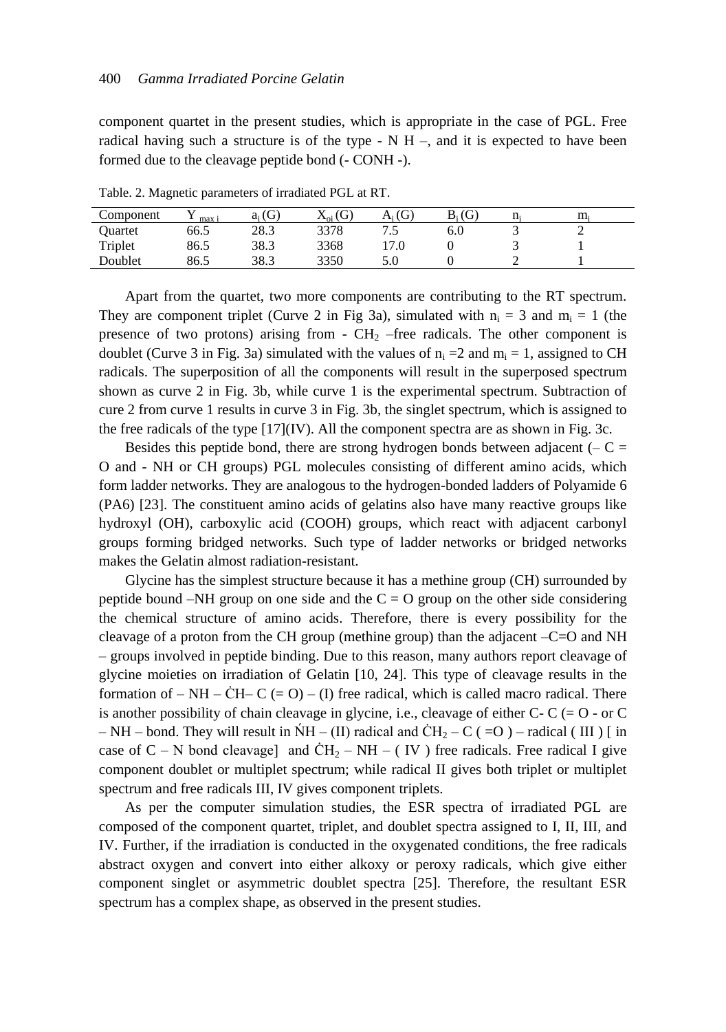component quartet in the present studies, which is appropriate in the case of PGL. Free radical having such a structure is of the type  $\overline{\phantom{a}}$  N H –, and it is expected to have been formed due to the cleavage peptide bond (- CONH -).

| Component | max i | $a_i(G)$ | $X_{oi}(G)$ | $A_i(G)$ | (G)<br>B. | n: | m. |  |
|-----------|-------|----------|-------------|----------|-----------|----|----|--|
| Ouartet   | 66.5  | 28.3     | 3378        | ت        | 6.0       |    |    |  |
| Triplet   | 86.5  | 38.3     | 3368        | .0       |           | ÷  |    |  |
| Doublet   | 86.5  | 38.3     | 3350        | 5.0      |           |    |    |  |

Table. 2. Magnetic parameters of irradiated PGL at RT.

Apart from the quartet, two more components are contributing to the RT spectrum. They are component triplet (Curve 2 in Fig 3a), simulated with  $n_i = 3$  and  $m_i = 1$  (the presence of two protons) arising from  $\sim$  CH<sub>2</sub> –free radicals. The other component is doublet (Curve 3 in Fig. 3a) simulated with the values of  $n_i = 2$  and  $m_i = 1$ , assigned to CH radicals. The superposition of all the components will result in the superposed spectrum shown as curve 2 in Fig. 3b, while curve 1 is the experimental spectrum. Subtraction of cure 2 from curve 1 results in curve 3 in Fig. 3b, the singlet spectrum, which is assigned to the free radicals of the type  $[17]$ (IV). All the component spectra are as shown in Fig. 3c.

Besides this peptide bond, there are strong hydrogen bonds between adjacent  $(-C =$ O and - NH or CH groups) PGL molecules consisting of different amino acids, which form ladder networks. They are analogous to the hydrogen-bonded ladders of Polyamide 6 (PA6) [23]. The constituent amino acids of gelatins also have many reactive groups like hydroxyl (OH), carboxylic acid (COOH) groups, which react with adjacent carbonyl groups forming bridged networks. Such type of ladder networks or bridged networks makes the Gelatin almost radiation-resistant.

Glycine has the simplest structure because it has a methine group (CH) surrounded by peptide bound  $-NH$  group on one side and the  $C = O$  group on the other side considering the chemical structure of amino acids. Therefore, there is every possibility for the cleavage of a proton from the CH group (methine group) than the adjacent –C=O and NH – groups involved in peptide binding. Due to this reason, many authors report cleavage of glycine moieties on irradiation of Gelatin [10, 24]. This type of cleavage results in the formation of – NH –  $CH-$  C (= O) – (I) free radical, which is called macro radical. There is another possibility of chain cleavage in glycine, i.e., cleavage of either  $C-C = 0$  - or C – NH – bond. They will result in  $\text{NH} - (\text{II})$  radical and  $\text{CH}_2 - \text{C}$  (=O) – radical (III) [in case of C – N bond cleavage] and  $CH_2$  – NH – (IV) free radicals. Free radical I give component doublet or multiplet spectrum; while radical II gives both triplet or multiplet spectrum and free radicals III, IV gives component triplets.

As per the computer simulation studies, the ESR spectra of irradiated PGL are composed of the component quartet, triplet, and doublet spectra assigned to I, II, III, and IV. Further, if the irradiation is conducted in the oxygenated conditions, the free radicals abstract oxygen and convert into either alkoxy or peroxy radicals, which give either component singlet or asymmetric doublet spectra [25]. Therefore, the resultant ESR spectrum has a complex shape, as observed in the present studies.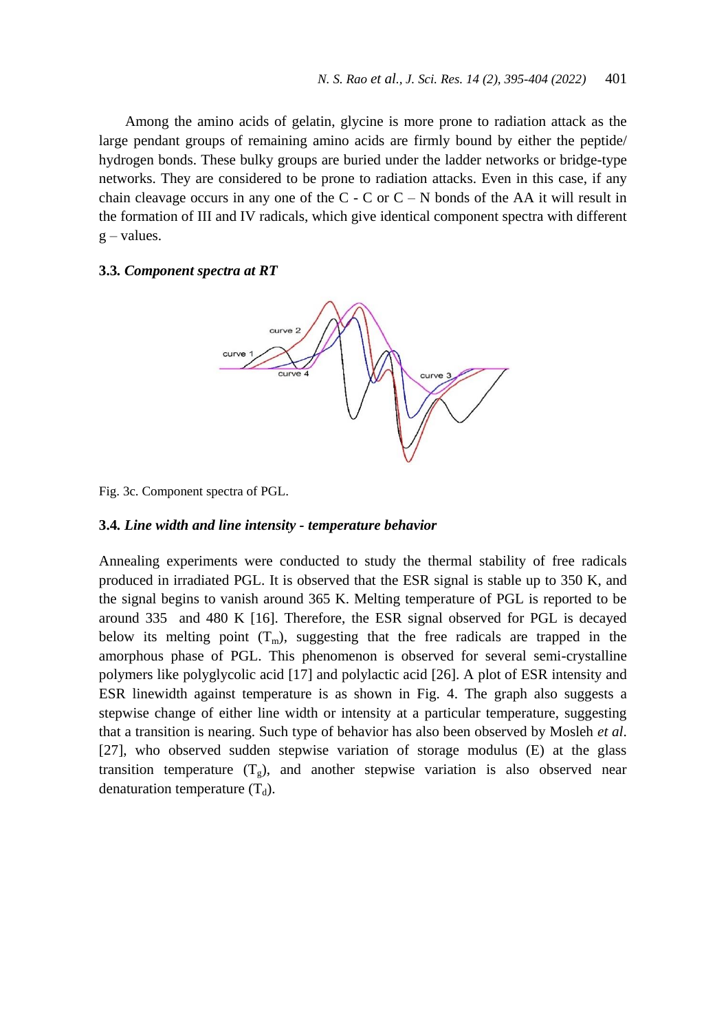Among the amino acids of gelatin, glycine is more prone to radiation attack as the large pendant groups of remaining amino acids are firmly bound by either the peptide/ hydrogen bonds. These bulky groups are buried under the ladder networks or bridge-type networks. They are considered to be prone to radiation attacks. Even in this case, if any chain cleavage occurs in any one of the  $C - C$  or  $C - N$  bonds of the AA it will result in the formation of III and IV radicals, which give identical component spectra with different  $g$  – values.

## **3.3***. Component spectra at RT*



Fig. 3c. Component spectra of PGL.

## **3.4***. Line width and line intensity - temperature behavior*

Annealing experiments were conducted to study the thermal stability of free radicals produced in irradiated PGL. It is observed that the ESR signal is stable up to 350 K, and the signal begins to vanish around 365 K. Melting temperature of PGL is reported to be around 335 and 480 K [16]. Therefore, the ESR signal observed for PGL is decayed below its melting point  $(T_m)$ , suggesting that the free radicals are trapped in the amorphous phase of PGL. This phenomenon is observed for several semi-crystalline polymers like polyglycolic acid [17] and polylactic acid [26]. A plot of ESR intensity and ESR linewidth against temperature is as shown in Fig. 4. The graph also suggests a stepwise change of either line width or intensity at a particular temperature, suggesting that a transition is nearing. Such type of behavior has also been observed by Mosleh *et al*. [27], who observed sudden stepwise variation of storage modulus (E) at the glass transition temperature  $(T_g)$ , and another stepwise variation is also observed near denaturation temperature  $(T_d)$ .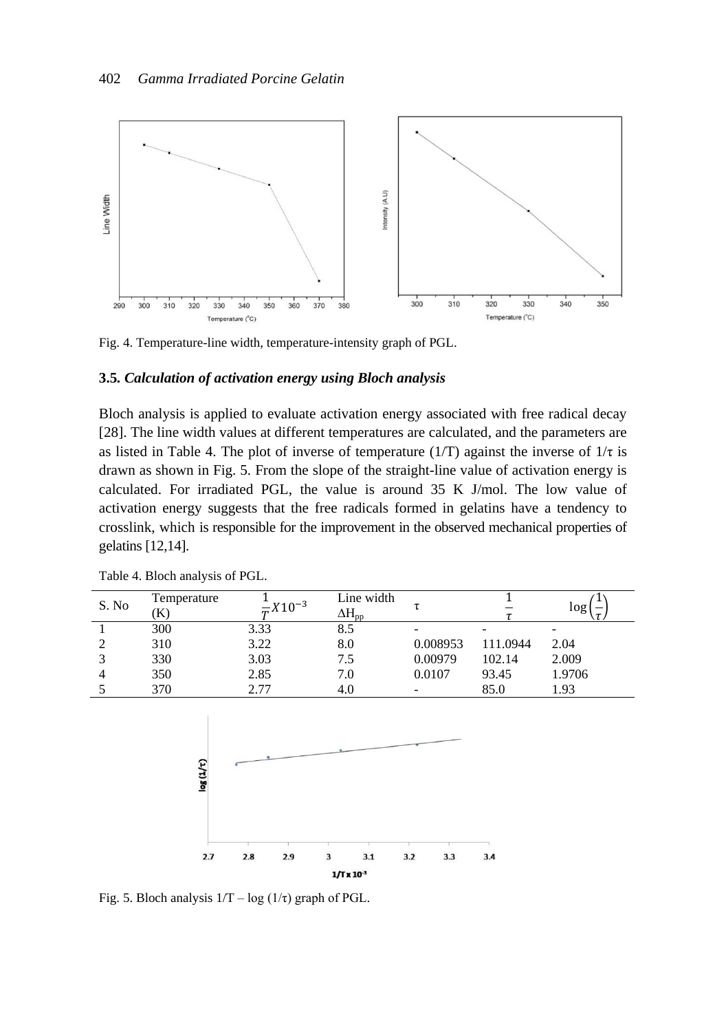

Fig. 4. Temperature-line width, temperature-intensity graph of PGL.

## **3.5***. Calculation of activation energy using Bloch analysis*

Bloch analysis is applied to evaluate activation energy associated with free radical decay [28]. The line width values at different temperatures are calculated, and the parameters are as listed in Table 4. The plot of inverse of temperature  $(1/T)$  against the inverse of  $1/\tau$  is drawn as shown in Fig. 5. From the slope of the straight-line value of activation energy is calculated. For irradiated PGL, the value is around 35 K J/mol. The low value of activation energy suggests that the free radicals formed in gelatins have a tendency to crosslink, which is responsible for the improvement in the observed mechanical properties of gelatins [12,14].

| S. No | Temperature<br>K) | $\frac{1}{2}$ X 10 <sup>-3</sup> | Line width<br>$\Delta H_{nn}$ |                          |          | log    |
|-------|-------------------|----------------------------------|-------------------------------|--------------------------|----------|--------|
|       | 300               | 3.33                             | 8.5                           |                          |          |        |
|       | 310               | 3.22                             | 8.0                           | 0.008953                 | 111.0944 | 2.04   |
|       | 330               | 3.03                             | 7.5                           | 0.00979                  | 102.14   | 2.009  |
|       | 350               | 2.85                             | 7.0                           | 0.0107                   | 93.45    | 1.9706 |
|       | 370               | 2.77                             | 4.0                           | $\overline{\phantom{0}}$ | 85.0     | 1.93   |
|       |                   |                                  |                               |                          |          |        |

Table 4. Bloch analysis of PGL.



Fig. 5. Bloch analysis  $1/T - log(1/\tau)$  graph of PGL.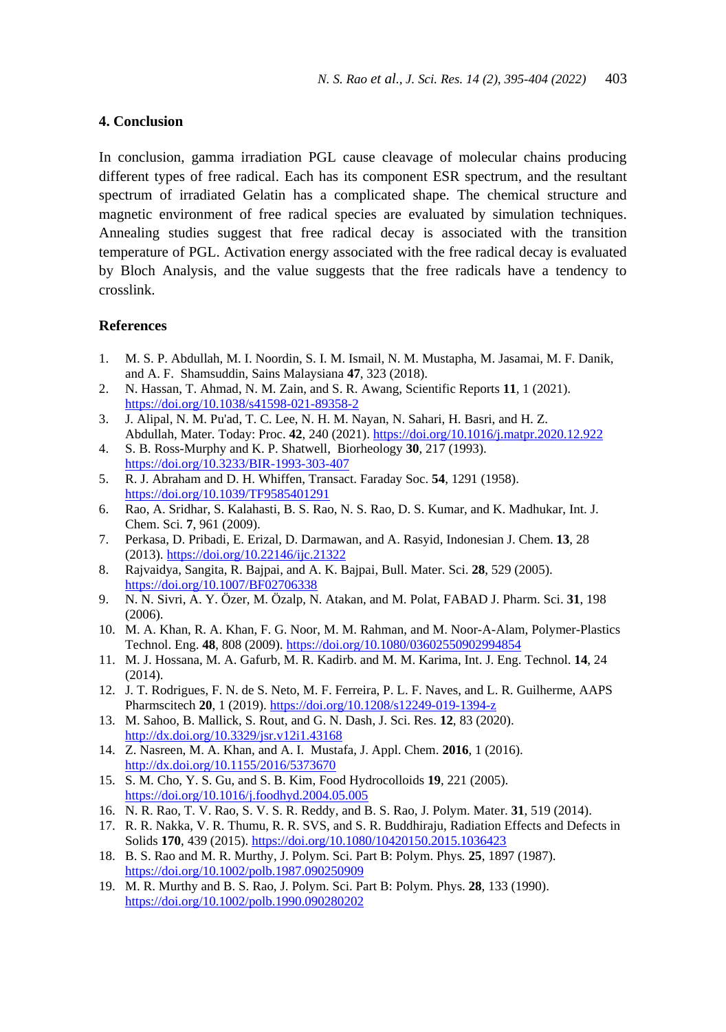## **4. Conclusion**

In conclusion, gamma irradiation PGL cause cleavage of molecular chains producing different types of free radical. Each has its component ESR spectrum, and the resultant spectrum of irradiated Gelatin has a complicated shape. The chemical structure and magnetic environment of free radical species are evaluated by simulation techniques. Annealing studies suggest that free radical decay is associated with the transition temperature of PGL. Activation energy associated with the free radical decay is evaluated by Bloch Analysis, and the value suggests that the free radicals have a tendency to crosslink.

#### **References**

- 1. M. S. P. Abdullah, M. I. Noordin, S. I. M. Ismail, N. M. Mustapha, M. Jasamai, M. F. Danik, and A. F. Shamsuddin, Sains Malaysiana **47**, 323 (2018).
- 2. N. Hassan, T. Ahmad, N. M. Zain, and S. R. Awang, Scientific Reports **11**, 1 (2021). <https://doi.org/10.1038/s41598-021-89358-2>
- 3. J. Alipal, N. M. Pu'ad, T. C. Lee, N. H. M. Nayan, N. Sahari, H. Basri, and H. Z. Abdullah, Mater. Today: Proc. **42**, 240 (2021)[. https://doi.org/10.1016/j.matpr.2020.12.922](https://doi.org/10.1016/j.matpr.2020.12.922)
- 4. S. B. Ross-Murphy and K. P. Shatwell, Biorheology **30**, 217 (1993). <https://doi.org/10.3233/BIR-1993-303-407>
- 5. R. J. Abraham and D. H. Whiffen, Transact. Faraday Soc. **54**, 1291 (1958). <https://doi.org/10.1039/TF9585401291>
- 6. Rao, A. Sridhar, S. Kalahasti, B. S. Rao, N. S. Rao, D. S. Kumar, and K. Madhukar, Int. J. Chem. Sci. **7**, 961 (2009).
- 7. Perkasa, D. Pribadi, E. Erizal, D. Darmawan, and A. Rasyid, Indonesian J. Chem. **13**, 28 (2013)[. https://doi.org/10.22146/ijc.21322](https://doi.org/10.22146/ijc.21322)
- 8. Rajvaidya, Sangita, R. Bajpai, and A. K. Bajpai, Bull. Mater. Sci. **28**, 529 (2005). <https://doi.org/10.1007/BF02706338>
- 9. N. N. Sivri, A. Y. Özer, M. Özalp, N. Atakan, and M. Polat, FABAD J. Pharm. Sci. **31**, 198 (2006).
- 10. M. A. Khan, R. A. Khan, F. G. Noor, M. M. Rahman, and M. Noor-A-Alam, Polymer-Plastics Technol. Eng. **48**, 808 (2009).<https://doi.org/10.1080/03602550902994854>
- 11. M. J. Hossana, M. A. Gafurb, M. R. Kadirb. and M. M. Karima, Int. J. Eng. Technol. **14**, 24 (2014).
- 12. J. T. Rodrigues, F. N. de S. Neto, M. F. Ferreira, P. L. F. Naves, and L. R. Guilherme, AAPS Pharmscitech **20**, 1 (2019)[. https://doi.org/10.1208/s12249-019-1394-z](https://doi.org/10.1208/s12249-019-1394-z)
- 13. M. Sahoo, B. Mallick, S. Rout, and G. N. Dash, J. Sci. Res. **12**, 83 (2020). <http://dx.doi.org/10.3329/jsr.v12i1.43168>
- 14. Z. Nasreen, M. A. Khan, and A. I. Mustafa, J. Appl. Chem. **2016**, 1 (2016). <http://dx.doi.org/10.1155/2016/5373670>
- 15. S. M. Cho, Y. S. Gu, and S. B. Kim, Food Hydrocolloids **19**, 221 (2005). <https://doi.org/10.1016/j.foodhyd.2004.05.005>
- 16. N. R. Rao, T. V. Rao, S. V. S. R. Reddy, and B. S. Rao, J. Polym. Mater. **31**, 519 (2014).
- 17. R. R. Nakka, V. R. Thumu, R. R. SVS, and S. R. Buddhiraju, Radiation Effects and Defects in Solids **170**, 439 (2015).<https://doi.org/10.1080/10420150.2015.1036423>
- 18. B. S. Rao and M. R. Murthy, J. Polym. Sci. Part B: Polym. Phys*.* **25**, 1897 (1987). <https://doi.org/10.1002/polb.1987.090250909>
- 19. M. R. Murthy and B. S. Rao, J. Polym. Sci. Part B: Polym. Phys. **28**, 133 (1990). <https://doi.org/10.1002/polb.1990.090280202>